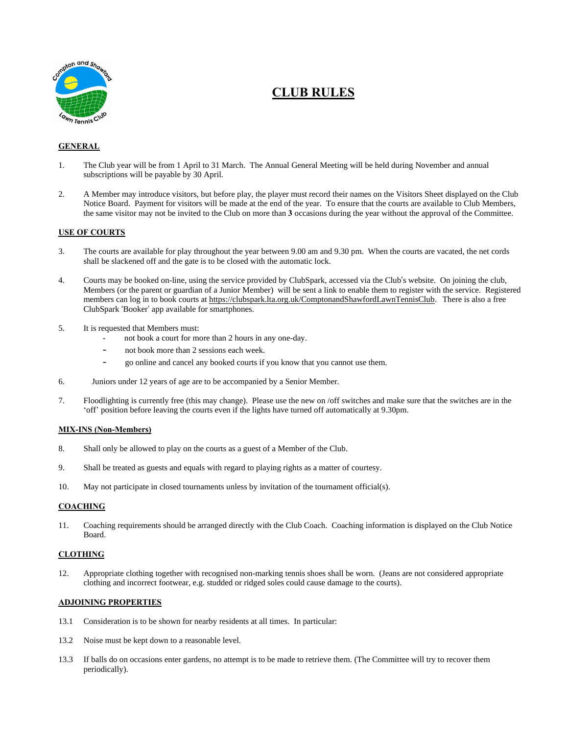

# **CLUB RULES**

## **GENERAL**

- 1. The Club year will be from 1 April to 31 March. The Annual General Meeting will be held during November and annual subscriptions will be payable by 30 April.
- 2. A Member may introduce visitors, but before play, the player must record their names on the Visitors Sheet displayed on the Club Notice Board. Payment for visitors will be made at the end of the year. To ensure that the courts are available to Club Members, the same visitor may not be invited to the Club on more than **3** occasions during the year without the approval of the Committee.

#### **USE OF COURTS**

- 3. The courts are available for play throughout the year between 9.00 am and 9.30 pm. When the courts are vacated, the net cords shall be slackened off and the gate is to be closed with the automatic lock.
- 4. Courts may be booked on-line, using the service provided by ClubSpark, accessed via the Club's website. On joining the club, Members (or the parent or guardian of a Junior Member) will be sent a link to enable them to register with the service. Registered members can log in to book courts at [https://clubspark.lta.org.uk/ComptonandShawfordLawnTennisClub.](https://clubspark.lta.org.uk/ComptonandShawfordLawnTennisClub) There is also a free ClubSpark 'Booker' app available for smartphones.
- 5. It is requested that Members must:
	- not book a court for more than 2 hours in any one-day.
	- not book more than 2 sessions each week.
	- go online and cancel any booked courts if you know that you cannot use them.
- 6. Juniors under 12 years of age are to be accompanied by a Senior Member.
- 7. Floodlighting is currently free (this may change). Please use the new on /off switches and make sure that the switches are in the 'off' position before leaving the courts even if the lights have turned off automatically at 9.30pm.

#### **MIX-INS (Non-Members)**

- 8. Shall only be allowed to play on the courts as a guest of a Member of the Club.
- 9. Shall be treated as guests and equals with regard to playing rights as a matter of courtesy.
- 10. May not participate in closed tournaments unless by invitation of the tournament official(s).

## **COACHING**

11. Coaching requirements should be arranged directly with the Club Coach. Coaching information is displayed on the Club Notice Board.

## **CLOTHING**

12. Appropriate clothing together with recognised non-marking tennis shoes shall be worn. (Jeans are not considered appropriate clothing and incorrect footwear, e.g. studded or ridged soles could cause damage to the courts).

#### **ADJOINING PROPERTIES**

- 13.1 Consideration is to be shown for nearby residents at all times. In particular:
- 13.2 Noise must be kept down to a reasonable level.
- 13.3 If balls do on occasions enter gardens, no attempt is to be made to retrieve them. (The Committee will try to recover them periodically).